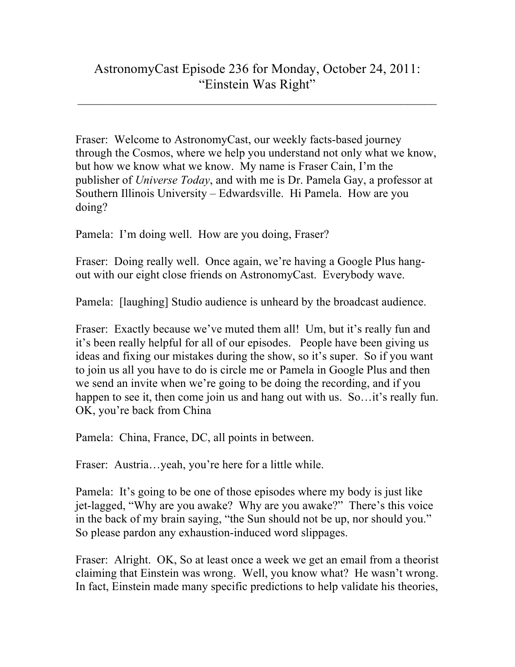## AstronomyCast Episode 236 for Monday, October 24, 2011: "Einstein Was Right"

 $\mathcal{L}_\text{max}$  , and the contribution of the contribution of the contribution of the contribution of the contribution of the contribution of the contribution of the contribution of the contribution of the contribution of t

Fraser: Welcome to AstronomyCast, our weekly facts-based journey through the Cosmos, where we help you understand not only what we know, but how we know what we know. My name is Fraser Cain, I'm the publisher of *Universe Today*, and with me is Dr. Pamela Gay, a professor at Southern Illinois University – Edwardsville. Hi Pamela. How are you doing?

Pamela: I'm doing well. How are you doing, Fraser?

Fraser: Doing really well. Once again, we're having a Google Plus hangout with our eight close friends on AstronomyCast. Everybody wave.

Pamela: [laughing] Studio audience is unheard by the broadcast audience.

Fraser: Exactly because we've muted them all! Um, but it's really fun and it's been really helpful for all of our episodes. People have been giving us ideas and fixing our mistakes during the show, so it's super. So if you want to join us all you have to do is circle me or Pamela in Google Plus and then we send an invite when we're going to be doing the recording, and if you happen to see it, then come join us and hang out with us. So... it's really fun. OK, you're back from China

Pamela: China, France, DC, all points in between.

Fraser: Austria…yeah, you're here for a little while.

Pamela: It's going to be one of those episodes where my body is just like jet-lagged, "Why are you awake? Why are you awake?" There's this voice in the back of my brain saying, "the Sun should not be up, nor should you." So please pardon any exhaustion-induced word slippages.

Fraser: Alright. OK, So at least once a week we get an email from a theorist claiming that Einstein was wrong. Well, you know what? He wasn't wrong. In fact, Einstein made many specific predictions to help validate his theories,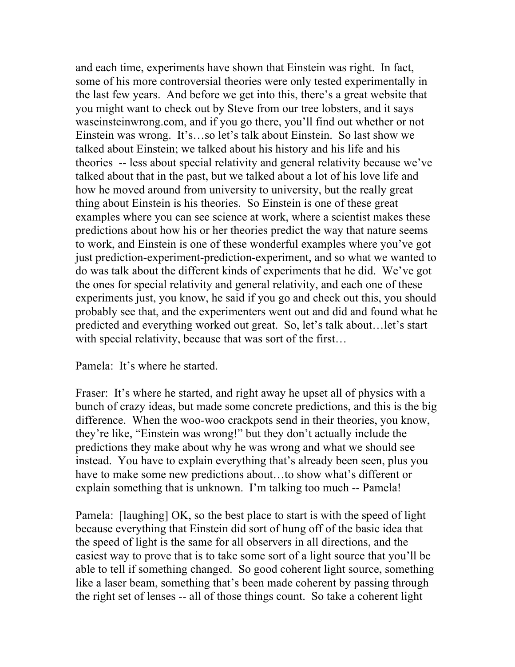and each time, experiments have shown that Einstein was right. In fact, some of his more controversial theories were only tested experimentally in the last few years. And before we get into this, there's a great website that you might want to check out by Steve from our tree lobsters, and it says waseinsteinwrong.com, and if you go there, you'll find out whether or not Einstein was wrong. It's…so let's talk about Einstein. So last show we talked about Einstein; we talked about his history and his life and his theories -- less about special relativity and general relativity because we've talked about that in the past, but we talked about a lot of his love life and how he moved around from university to university, but the really great thing about Einstein is his theories. So Einstein is one of these great examples where you can see science at work, where a scientist makes these predictions about how his or her theories predict the way that nature seems to work, and Einstein is one of these wonderful examples where you've got just prediction-experiment-prediction-experiment, and so what we wanted to do was talk about the different kinds of experiments that he did. We've got the ones for special relativity and general relativity, and each one of these experiments just, you know, he said if you go and check out this, you should probably see that, and the experimenters went out and did and found what he predicted and everything worked out great. So, let's talk about…let's start with special relativity, because that was sort of the first...

Pamela: It's where he started.

Fraser: It's where he started, and right away he upset all of physics with a bunch of crazy ideas, but made some concrete predictions, and this is the big difference. When the woo-woo crackpots send in their theories, you know, they're like, "Einstein was wrong!" but they don't actually include the predictions they make about why he was wrong and what we should see instead. You have to explain everything that's already been seen, plus you have to make some new predictions about...to show what's different or explain something that is unknown. I'm talking too much -- Pamela!

Pamela: [laughing] OK, so the best place to start is with the speed of light because everything that Einstein did sort of hung off of the basic idea that the speed of light is the same for all observers in all directions, and the easiest way to prove that is to take some sort of a light source that you'll be able to tell if something changed. So good coherent light source, something like a laser beam, something that's been made coherent by passing through the right set of lenses -- all of those things count. So take a coherent light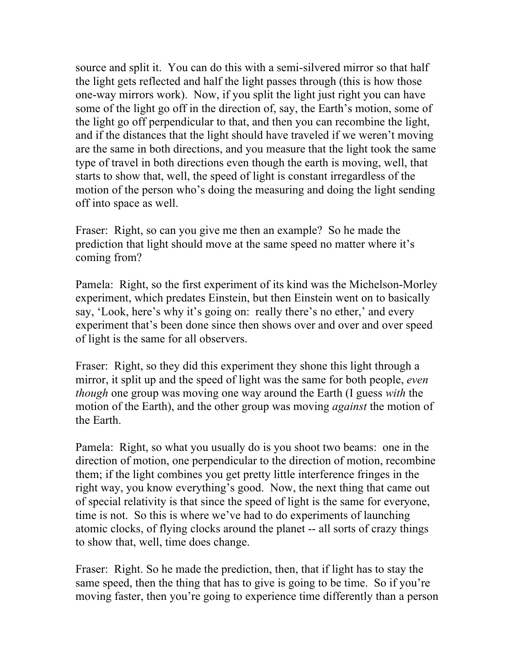source and split it. You can do this with a semi-silvered mirror so that half the light gets reflected and half the light passes through (this is how those one-way mirrors work). Now, if you split the light just right you can have some of the light go off in the direction of, say, the Earth's motion, some of the light go off perpendicular to that, and then you can recombine the light, and if the distances that the light should have traveled if we weren't moving are the same in both directions, and you measure that the light took the same type of travel in both directions even though the earth is moving, well, that starts to show that, well, the speed of light is constant irregardless of the motion of the person who's doing the measuring and doing the light sending off into space as well.

Fraser: Right, so can you give me then an example? So he made the prediction that light should move at the same speed no matter where it's coming from?

Pamela: Right, so the first experiment of its kind was the Michelson-Morley experiment, which predates Einstein, but then Einstein went on to basically say, 'Look, here's why it's going on: really there's no ether,' and every experiment that's been done since then shows over and over and over speed of light is the same for all observers.

Fraser: Right, so they did this experiment they shone this light through a mirror, it split up and the speed of light was the same for both people, *even though* one group was moving one way around the Earth (I guess *with* the motion of the Earth), and the other group was moving *against* the motion of the Earth.

Pamela: Right, so what you usually do is you shoot two beams: one in the direction of motion, one perpendicular to the direction of motion, recombine them; if the light combines you get pretty little interference fringes in the right way, you know everything's good. Now, the next thing that came out of special relativity is that since the speed of light is the same for everyone, time is not. So this is where we've had to do experiments of launching atomic clocks, of flying clocks around the planet -- all sorts of crazy things to show that, well, time does change.

Fraser: Right. So he made the prediction, then, that if light has to stay the same speed, then the thing that has to give is going to be time. So if you're moving faster, then you're going to experience time differently than a person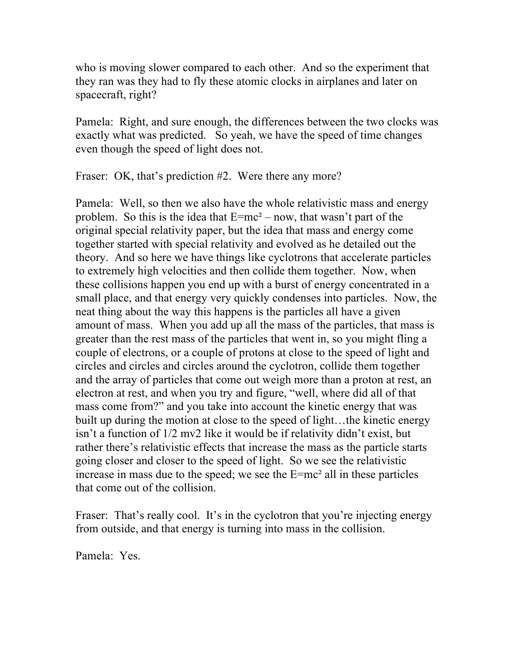who is moving slower compared to each other. And so the experiment that they ran was they had to fly these atomic clocks in airplanes and later on spacecraft, right?

Pamela: Right, and sure enough, the differences between the two clocks was exactly what was predicted. So yeah, we have the speed of time changes even though the speed of light does not.

Fraser: OK, that's prediction #2. Were there any more?

Pamela: Well, so then we also have the whole relativistic mass and energy problem. So this is the idea that  $E=mc^2 - now$ , that wasn't part of the original special relativity paper, but the idea that mass and energy come together started with special relativity and evolved as he detailed out the theory. And so here we have things like cyclotrons that accelerate particles to extremely high velocities and then collide them together. Now, when these collisions happen you end up with a burst of energy concentrated in a small place, and that energy very quickly condenses into particles. Now, the neat thing about the way this happens is the particles all have a given amount of mass. When you add up all the mass of the particles, that mass is greater than the rest mass of the particles that went in, so you might fling a couple of electrons, or a couple of protons at close to the speed of light and circles and circles and circles around the cyclotron, collide them together and the array of particles that come out weigh more than a proton at rest, an electron at rest, and when you try and figure, "well, where did all of that mass come from?" and you take into account the kinetic energy that was built up during the motion at close to the speed of light…the kinetic energy isn't a function of 1/2 mv2 like it would be if relativity didn't exist, but rather there's relativistic effects that increase the mass as the particle starts going closer and closer to the speed of light. So we see the relativistic increase in mass due to the speed; we see the  $E=mc^2$  all in these particles that come out of the collision.

Fraser: That's really cool. It's in the cyclotron that you're injecting energy from outside, and that energy is turning into mass in the collision.

Pamela: Yes.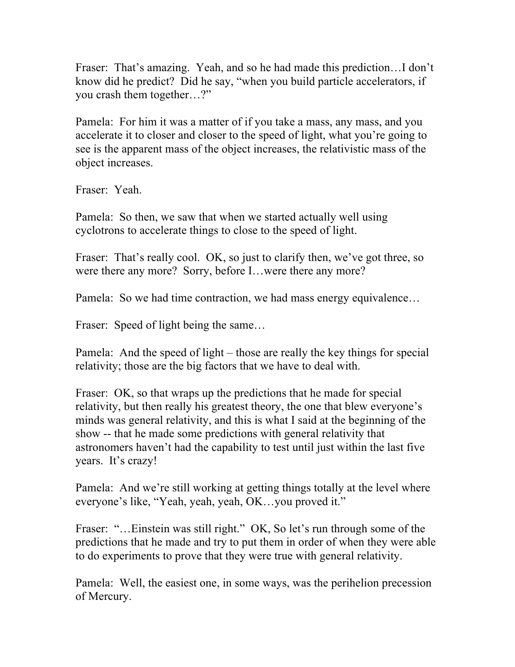Fraser: That's amazing. Yeah, and so he had made this prediction…I don't know did he predict? Did he say, "when you build particle accelerators, if you crash them together…?"

Pamela: For him it was a matter of if you take a mass, any mass, and you accelerate it to closer and closer to the speed of light, what you're going to see is the apparent mass of the object increases, the relativistic mass of the object increases.

Fraser: Yeah.

Pamela: So then, we saw that when we started actually well using cyclotrons to accelerate things to close to the speed of light.

Fraser: That's really cool. OK, so just to clarify then, we've got three, so were there any more? Sorry, before I…were there any more?

Pamela: So we had time contraction, we had mass energy equivalence...

Fraser: Speed of light being the same...

Pamela: And the speed of light – those are really the key things for special relativity; those are the big factors that we have to deal with.

Fraser: OK, so that wraps up the predictions that he made for special relativity, but then really his greatest theory, the one that blew everyone's minds was general relativity, and this is what I said at the beginning of the show -- that he made some predictions with general relativity that astronomers haven't had the capability to test until just within the last five years. It's crazy!

Pamela: And we're still working at getting things totally at the level where everyone's like, "Yeah, yeah, yeah, OK…you proved it."

Fraser: "...Einstein was still right." OK, So let's run through some of the predictions that he made and try to put them in order of when they were able to do experiments to prove that they were true with general relativity.

Pamela: Well, the easiest one, in some ways, was the perihelion precession of Mercury.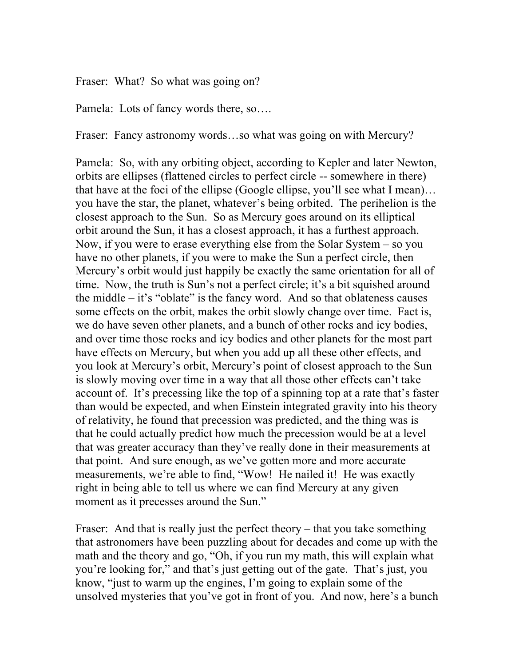Fraser: What? So what was going on?

Pamela: Lots of fancy words there, so….

Fraser: Fancy astronomy words...so what was going on with Mercury?

Pamela: So, with any orbiting object, according to Kepler and later Newton, orbits are ellipses (flattened circles to perfect circle -- somewhere in there) that have at the foci of the ellipse (Google ellipse, you'll see what I mean)… you have the star, the planet, whatever's being orbited. The perihelion is the closest approach to the Sun. So as Mercury goes around on its elliptical orbit around the Sun, it has a closest approach, it has a furthest approach. Now, if you were to erase everything else from the Solar System – so you have no other planets, if you were to make the Sun a perfect circle, then Mercury's orbit would just happily be exactly the same orientation for all of time. Now, the truth is Sun's not a perfect circle; it's a bit squished around the middle  $-$  it's "oblate" is the fancy word. And so that oblateness causes some effects on the orbit, makes the orbit slowly change over time. Fact is, we do have seven other planets, and a bunch of other rocks and icy bodies, and over time those rocks and icy bodies and other planets for the most part have effects on Mercury, but when you add up all these other effects, and you look at Mercury's orbit, Mercury's point of closest approach to the Sun is slowly moving over time in a way that all those other effects can't take account of. It's precessing like the top of a spinning top at a rate that's faster than would be expected, and when Einstein integrated gravity into his theory of relativity, he found that precession was predicted, and the thing was is that he could actually predict how much the precession would be at a level that was greater accuracy than they've really done in their measurements at that point. And sure enough, as we've gotten more and more accurate measurements, we're able to find, "Wow! He nailed it! He was exactly right in being able to tell us where we can find Mercury at any given moment as it precesses around the Sun."

Fraser: And that is really just the perfect theory – that you take something that astronomers have been puzzling about for decades and come up with the math and the theory and go, "Oh, if you run my math, this will explain what you're looking for," and that's just getting out of the gate. That's just, you know, "just to warm up the engines, I'm going to explain some of the unsolved mysteries that you've got in front of you. And now, here's a bunch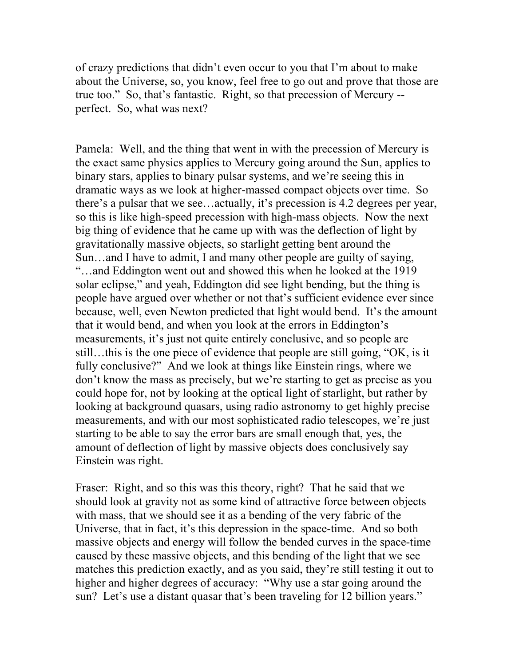of crazy predictions that didn't even occur to you that I'm about to make about the Universe, so, you know, feel free to go out and prove that those are true too." So, that's fantastic. Right, so that precession of Mercury - perfect. So, what was next?

Pamela: Well, and the thing that went in with the precession of Mercury is the exact same physics applies to Mercury going around the Sun, applies to binary stars, applies to binary pulsar systems, and we're seeing this in dramatic ways as we look at higher-massed compact objects over time. So there's a pulsar that we see…actually, it's precession is 4.2 degrees per year, so this is like high-speed precession with high-mass objects. Now the next big thing of evidence that he came up with was the deflection of light by gravitationally massive objects, so starlight getting bent around the Sun…and I have to admit, I and many other people are guilty of saying, "…and Eddington went out and showed this when he looked at the 1919 solar eclipse," and yeah, Eddington did see light bending, but the thing is people have argued over whether or not that's sufficient evidence ever since because, well, even Newton predicted that light would bend. It's the amount that it would bend, and when you look at the errors in Eddington's measurements, it's just not quite entirely conclusive, and so people are still…this is the one piece of evidence that people are still going, "OK, is it fully conclusive?" And we look at things like Einstein rings, where we don't know the mass as precisely, but we're starting to get as precise as you could hope for, not by looking at the optical light of starlight, but rather by looking at background quasars, using radio astronomy to get highly precise measurements, and with our most sophisticated radio telescopes, we're just starting to be able to say the error bars are small enough that, yes, the amount of deflection of light by massive objects does conclusively say Einstein was right.

Fraser: Right, and so this was this theory, right? That he said that we should look at gravity not as some kind of attractive force between objects with mass, that we should see it as a bending of the very fabric of the Universe, that in fact, it's this depression in the space-time. And so both massive objects and energy will follow the bended curves in the space-time caused by these massive objects, and this bending of the light that we see matches this prediction exactly, and as you said, they're still testing it out to higher and higher degrees of accuracy: "Why use a star going around the sun? Let's use a distant quasar that's been traveling for 12 billion years."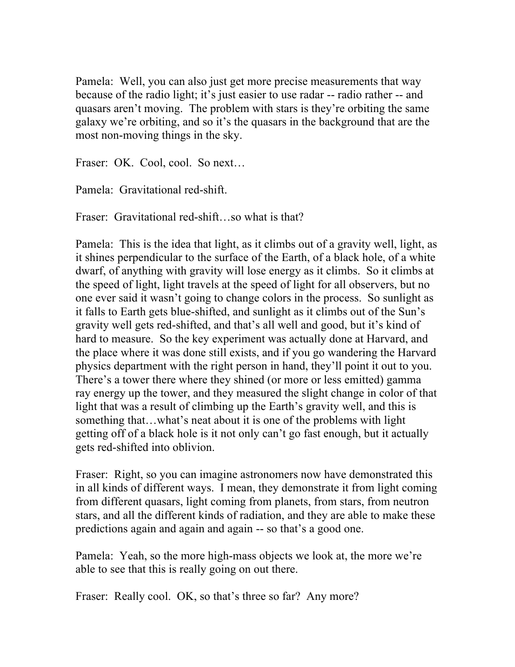Pamela: Well, you can also just get more precise measurements that way because of the radio light; it's just easier to use radar -- radio rather -- and quasars aren't moving. The problem with stars is they're orbiting the same galaxy we're orbiting, and so it's the quasars in the background that are the most non-moving things in the sky.

Fraser: OK. Cool, cool. So next…

Pamela: Gravitational red-shift.

Fraser: Gravitational red-shift...so what is that?

Pamela: This is the idea that light, as it climbs out of a gravity well, light, as it shines perpendicular to the surface of the Earth, of a black hole, of a white dwarf, of anything with gravity will lose energy as it climbs. So it climbs at the speed of light, light travels at the speed of light for all observers, but no one ever said it wasn't going to change colors in the process. So sunlight as it falls to Earth gets blue-shifted, and sunlight as it climbs out of the Sun's gravity well gets red-shifted, and that's all well and good, but it's kind of hard to measure. So the key experiment was actually done at Harvard, and the place where it was done still exists, and if you go wandering the Harvard physics department with the right person in hand, they'll point it out to you. There's a tower there where they shined (or more or less emitted) gamma ray energy up the tower, and they measured the slight change in color of that light that was a result of climbing up the Earth's gravity well, and this is something that…what's neat about it is one of the problems with light getting off of a black hole is it not only can't go fast enough, but it actually gets red-shifted into oblivion.

Fraser: Right, so you can imagine astronomers now have demonstrated this in all kinds of different ways. I mean, they demonstrate it from light coming from different quasars, light coming from planets, from stars, from neutron stars, and all the different kinds of radiation, and they are able to make these predictions again and again and again -- so that's a good one.

Pamela: Yeah, so the more high-mass objects we look at, the more we're able to see that this is really going on out there.

Fraser: Really cool. OK, so that's three so far? Any more?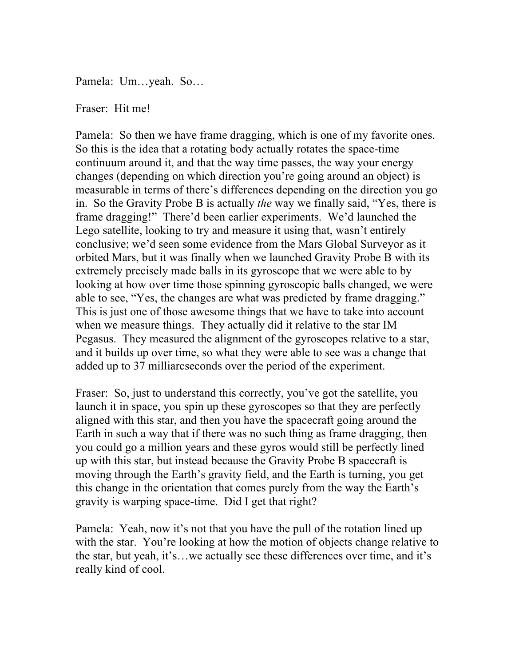Pamela: Um…yeah. So…

## Fraser: Hit me!

Pamela: So then we have frame dragging, which is one of my favorite ones. So this is the idea that a rotating body actually rotates the space-time continuum around it, and that the way time passes, the way your energy changes (depending on which direction you're going around an object) is measurable in terms of there's differences depending on the direction you go in. So the Gravity Probe B is actually *the* way we finally said, "Yes, there is frame dragging!" There'd been earlier experiments. We'd launched the Lego satellite, looking to try and measure it using that, wasn't entirely conclusive; we'd seen some evidence from the Mars Global Surveyor as it orbited Mars, but it was finally when we launched Gravity Probe B with its extremely precisely made balls in its gyroscope that we were able to by looking at how over time those spinning gyroscopic balls changed, we were able to see, "Yes, the changes are what was predicted by frame dragging." This is just one of those awesome things that we have to take into account when we measure things. They actually did it relative to the star IM Pegasus. They measured the alignment of the gyroscopes relative to a star, and it builds up over time, so what they were able to see was a change that added up to 37 milliarcseconds over the period of the experiment.

Fraser: So, just to understand this correctly, you've got the satellite, you launch it in space, you spin up these gyroscopes so that they are perfectly aligned with this star, and then you have the spacecraft going around the Earth in such a way that if there was no such thing as frame dragging, then you could go a million years and these gyros would still be perfectly lined up with this star, but instead because the Gravity Probe B spacecraft is moving through the Earth's gravity field, and the Earth is turning, you get this change in the orientation that comes purely from the way the Earth's gravity is warping space-time. Did I get that right?

Pamela: Yeah, now it's not that you have the pull of the rotation lined up with the star. You're looking at how the motion of objects change relative to the star, but yeah, it's…we actually see these differences over time, and it's really kind of cool.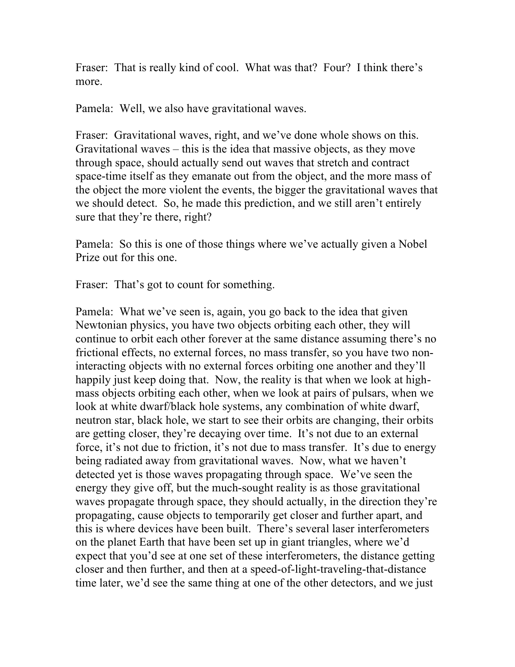Fraser: That is really kind of cool. What was that? Four? I think there's more.

Pamela: Well, we also have gravitational waves.

Fraser: Gravitational waves, right, and we've done whole shows on this. Gravitational waves – this is the idea that massive objects, as they move through space, should actually send out waves that stretch and contract space-time itself as they emanate out from the object, and the more mass of the object the more violent the events, the bigger the gravitational waves that we should detect. So, he made this prediction, and we still aren't entirely sure that they're there, right?

Pamela: So this is one of those things where we've actually given a Nobel Prize out for this one.

Fraser: That's got to count for something.

Pamela: What we've seen is, again, you go back to the idea that given Newtonian physics, you have two objects orbiting each other, they will continue to orbit each other forever at the same distance assuming there's no frictional effects, no external forces, no mass transfer, so you have two noninteracting objects with no external forces orbiting one another and they'll happily just keep doing that. Now, the reality is that when we look at highmass objects orbiting each other, when we look at pairs of pulsars, when we look at white dwarf/black hole systems, any combination of white dwarf, neutron star, black hole, we start to see their orbits are changing, their orbits are getting closer, they're decaying over time. It's not due to an external force, it's not due to friction, it's not due to mass transfer. It's due to energy being radiated away from gravitational waves. Now, what we haven't detected yet is those waves propagating through space. We've seen the energy they give off, but the much-sought reality is as those gravitational waves propagate through space, they should actually, in the direction they're propagating, cause objects to temporarily get closer and further apart, and this is where devices have been built. There's several laser interferometers on the planet Earth that have been set up in giant triangles, where we'd expect that you'd see at one set of these interferometers, the distance getting closer and then further, and then at a speed-of-light-traveling-that-distance time later, we'd see the same thing at one of the other detectors, and we just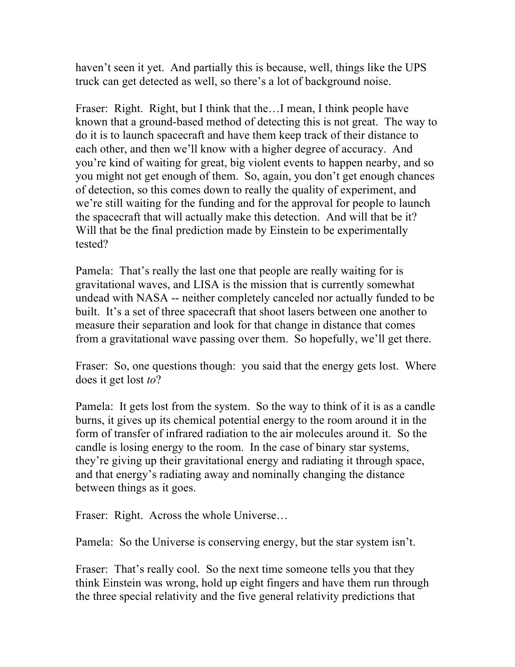haven't seen it yet. And partially this is because, well, things like the UPS truck can get detected as well, so there's a lot of background noise.

Fraser: Right. Right, but I think that the…I mean, I think people have known that a ground-based method of detecting this is not great. The way to do it is to launch spacecraft and have them keep track of their distance to each other, and then we'll know with a higher degree of accuracy. And you're kind of waiting for great, big violent events to happen nearby, and so you might not get enough of them. So, again, you don't get enough chances of detection, so this comes down to really the quality of experiment, and we're still waiting for the funding and for the approval for people to launch the spacecraft that will actually make this detection. And will that be it? Will that be the final prediction made by Einstein to be experimentally tested?

Pamela: That's really the last one that people are really waiting for is gravitational waves, and LISA is the mission that is currently somewhat undead with NASA -- neither completely canceled nor actually funded to be built. It's a set of three spacecraft that shoot lasers between one another to measure their separation and look for that change in distance that comes from a gravitational wave passing over them. So hopefully, we'll get there.

Fraser: So, one questions though: you said that the energy gets lost. Where does it get lost *to*?

Pamela: It gets lost from the system. So the way to think of it is as a candle burns, it gives up its chemical potential energy to the room around it in the form of transfer of infrared radiation to the air molecules around it. So the candle is losing energy to the room. In the case of binary star systems, they're giving up their gravitational energy and radiating it through space, and that energy's radiating away and nominally changing the distance between things as it goes.

Fraser: Right. Across the whole Universe…

Pamela: So the Universe is conserving energy, but the star system isn't.

Fraser: That's really cool. So the next time someone tells you that they think Einstein was wrong, hold up eight fingers and have them run through the three special relativity and the five general relativity predictions that